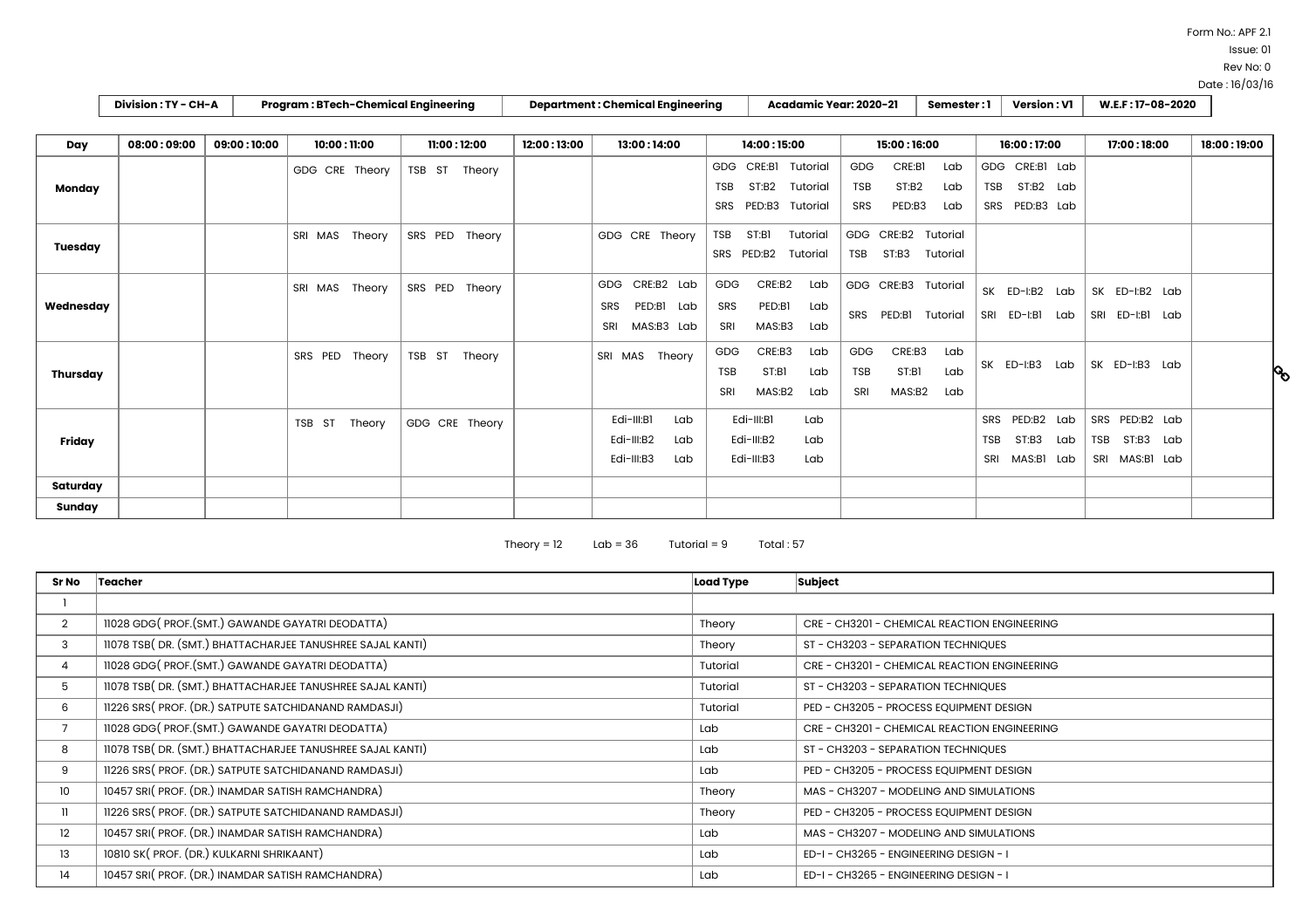Form No.: APF 2.1

Issue: 01

Rev No: 0

|                | Division: TY - CH-A |             | <b>Program: BTech-Chemical Engineering</b> |                   |             | <b>Department: Chemical Engineering</b>                        |                                 | Acadamic Year: 2020-21                 |                                  |                                   | Semester:1                                     | <b>Version: V1</b> |                                               |                   | W.E.F: 17-08-2020 |                                           |               |  |               |
|----------------|---------------------|-------------|--------------------------------------------|-------------------|-------------|----------------------------------------------------------------|---------------------------------|----------------------------------------|----------------------------------|-----------------------------------|------------------------------------------------|--------------------|-----------------------------------------------|-------------------|-------------------|-------------------------------------------|---------------|--|---------------|
|                |                     |             |                                            |                   |             |                                                                |                                 |                                        |                                  |                                   |                                                |                    |                                               |                   |                   |                                           |               |  |               |
| Day            | 08:00:09:00         | 09:00:10:00 | 10:00:11:00                                | 11:00:12:00       | 12:00:13:00 | 13:00:14:00                                                    |                                 | 14:00:15:00                            |                                  | 15:00:16:00                       | 16:00:17:00                                    |                    |                                               | 17:00:18:00       |                   |                                           | 18:00 : 19:00 |  |               |
| Monday         |                     |             | GDG CRE Theory                             | TSB ST<br>Theory  |             |                                                                | GDG CRE:BI<br><b>TSB</b><br>SRS | ST:B2<br>PED:B3                        | Tutorial<br>Tutorial<br>Tutorial | <b>GDG</b><br><b>TSB</b><br>SRS   | CRE:BI<br>Lab<br>ST:B2<br>Lab<br>PED:B3<br>Lab | <b>TSB</b>         | GDG CRE:BI Lab<br>ST:B2 Lab<br>SRS PED:B3 Lab |                   |                   |                                           |               |  |               |
| <b>Tuesday</b> |                     |             | SRI MAS<br>Theory                          | SRS PED<br>Theory |             | GDG CRE Theory                                                 | TSB<br>SRS PED:B2               | ST:BI<br>Tutorial<br>Tutorial          |                                  | GDG CRE:B2<br><b>TSB</b><br>ST:B3 | Tutorial<br>Tutorial                           |                    |                                               |                   |                   |                                           |               |  |               |
| Wednesday      |                     |             | SRI MAS<br>Theory                          | SRS PED<br>Theory |             | CRE:B2 Lab<br>GDG<br>PED:BI<br>SRS<br>Lab<br>MAS:B3 Lab<br>SRI | <b>GDG</b><br>SRS<br>SRI        | CRE:B2<br>PED:BI<br>MAS:B3             | Lab<br>Lab<br>Lab                | GDG CRE:B3<br>PED:BI<br>SRS       | Tutorial<br>Tutorial                           |                    | SK ED-I:B2<br>SRI ED-I:BI                     | Lab<br>Lab        |                   | SK ED-I:B2 Lab<br>SRI ED-I:BI             | Lab           |  |               |
| Thursday       |                     |             | SRS PED<br>Theory                          | TSB ST<br>Theory  |             | Theory<br>SRI MAS                                              | <b>GDG</b><br>TSB<br>SRI        | CRE:B3<br>ST:BI<br>MAS:B2              | Lab<br>Lab<br>Lab                | GDG<br><b>TSB</b><br>SRI          | CRE:B3<br>Lab<br>Lab<br>ST:B1<br>MAS:B2<br>Lab |                    | SK ED-I:B3                                    | Lab               |                   | SK ED-I:B3 Lab                            |               |  | $\mathcal{S}$ |
| Friday         |                     |             | TSB ST<br>Theory                           | GDG CRE Theory    |             | Edi-III:BI<br>Lab<br>Edi-III:B2<br>Lab<br>Edi-III:B3<br>Lab    |                                 | Edi-III:BI<br>Edi-III:B2<br>Edi-III:B3 | Lab<br>Lab<br>Lab                |                                   |                                                | <b>TSB</b><br>SRI  | SRS PED:B2<br>ST:B3<br>MAS:B1                 | Lab<br>Lab<br>Lab | <b>TSB</b>        | SRS PED:B2 Lab<br>ST:B3<br>SRI MAS:BI Lab | Lab           |  |               |
| Saturday       |                     |             |                                            |                   |             |                                                                |                                 |                                        |                                  |                                   |                                                |                    |                                               |                   |                   |                                           |               |  |               |
| Sunday         |                     |             |                                            |                   |             |                                                                |                                 |                                        |                                  |                                   |                                                |                    |                                               |                   |                   |                                           |               |  |               |

Theory =  $12$   $\qquad$  Lab =  $36$   $\qquad$  Tutorial =  $9$   $\qquad$  Total :  $57$ 

| Sr No          | Load Type<br>Teacher                                       |          | <b>Subject</b>                               |  |  |  |  |
|----------------|------------------------------------------------------------|----------|----------------------------------------------|--|--|--|--|
|                |                                                            |          |                                              |  |  |  |  |
| $\overline{2}$ | 11028 GDG(PROF.(SMT.) GAWANDE GAYATRI DEODATTA)            | Theory   | CRE - CH3201 - CHEMICAL REACTION ENGINEERING |  |  |  |  |
| 3              | 11078 TSB(DR. (SMT.) BHATTACHARJEE TANUSHREE SAJAL KANTI)  | Theory   | ST - CH3203 - SEPARATION TECHNIQUES          |  |  |  |  |
| $\overline{4}$ | 11028 GDG(PROF.(SMT.) GAWANDE GAYATRI DEODATTA)            | Tutorial | CRE - CH3201 - CHEMICAL REACTION ENGINEERING |  |  |  |  |
| 5              | 11078 TSB( DR. (SMT.) BHATTACHARJEE TANUSHREE SAJAL KANTI) | Tutorial | ST - CH3203 - SEPARATION TECHNIQUES          |  |  |  |  |
| 6              | 11226 SRS (PROF. (DR.) SATPUTE SATCHIDANAND RAMDASJI)      | Tutorial | PED - CH3205 - PROCESS EQUIPMENT DESIGN      |  |  |  |  |
|                | 11028 GDG(PROF.(SMT.) GAWANDE GAYATRI DEODATTA)            | Lab      | CRE - CH3201 - CHEMICAL REACTION ENGINEERING |  |  |  |  |
| 8              | 11078 TSB(DR. (SMT.) BHATTACHARJEE TANUSHREE SAJAL KANTI)  | Lab      | ST - CH3203 - SEPARATION TECHNIQUES          |  |  |  |  |
| 9              | 11226 SRS (PROF. (DR.) SATPUTE SATCHIDANAND RAMDASJI)      | Lab      | PED - CH3205 - PROCESS EQUIPMENT DESIGN      |  |  |  |  |
| 10             | 10457 SRI (PROF. (DR.) INAMDAR SATISH RAMCHANDRA)          | , Theory | MAS - CH3207 - MODELING AND SIMULATIONS      |  |  |  |  |
| $\mathbf{1}$   | 11226 SRS (PROF. (DR.) SATPUTE SATCHIDANAND RAMDASJI)      | Theory   | PED - CH3205 - PROCESS EQUIPMENT DESIGN      |  |  |  |  |
| 12             | 10457 SRI (PROF. (DR.) INAMDAR SATISH RAMCHANDRA)          | Lab      | MAS - CH3207 - MODELING AND SIMULATIONS      |  |  |  |  |
| 13             | 10810 SK (PROF. (DR.) KULKARNI SHRIKAANT)                  | Lab      | ED-I-CH3265 - ENGINEERING DESIGN - I         |  |  |  |  |
| 14             | 10457 SRI( PROF. (DR.) INAMDAR SATISH RAMCHANDRA)          | Lab      | ED-I-CH3265 - ENGINEERING DESIGN - I         |  |  |  |  |